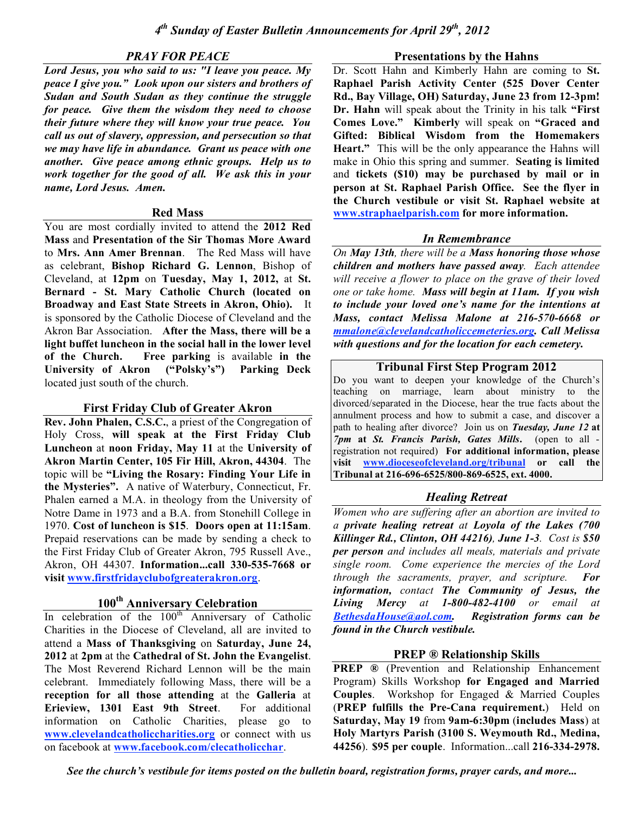# *PRAY FOR PEACE*

*Lord Jesus, you who said to us: "I leave you peace. My peace I give you." Look upon our sisters and brothers of Sudan and South Sudan as they continue the struggle for peace. Give them the wisdom they need to choose their future where they will know your true peace. You call us out of slavery, oppression, and persecution so that we may have life in abundance. Grant us peace with one another. Give peace among ethnic groups. Help us to work together for the good of all. We ask this in your name, Lord Jesus. Amen.*

#### **Red Mass**

You are most cordially invited to attend the **2012 Red Mass** and **Presentation of the Sir Thomas More Award** to **Mrs. Ann Amer Brennan**. The Red Mass will have as celebrant, **Bishop Richard G. Lennon**, Bishop of Cleveland, at **12pm** on **Tuesday, May 1, 2012,** at **St. Bernard - St. Mary Catholic Church (located on Broadway and East State Streets in Akron, Ohio).** It is sponsored by the Catholic Diocese of Cleveland and the Akron Bar Association. **After the Mass, there will be a light buffet luncheon in the social hall in the lower level of the Church. Free parking** is available **in the University of Akron ("Polsky's") Parking Deck** located just south of the church.

## **First Friday Club of Greater Akron**

**Rev. John Phalen, C.S.C.**, a priest of the Congregation of Holy Cross, **will speak at the First Friday Club Luncheon** at **noon Friday, May 11** at the **University of Akron Martin Center, 105 Fir Hill, Akron, 44304**. The topic will be **"Living the Rosary: Finding Your Life in the Mysteries".** A native of Waterbury, Connecticut, Fr. Phalen earned a M.A. in theology from the University of Notre Dame in 1973 and a B.A. from Stonehill College in 1970. **Cost of luncheon is \$15**. **Doors open at 11:15am**. Prepaid reservations can be made by sending a check to the First Friday Club of Greater Akron, 795 Russell Ave., Akron, OH 44307. **Information...call 330-535-7668 or visit www.firstfridayclubofgreaterakron.org**.

# **100th Anniversary Celebration**

In celebration of the  $100<sup>th</sup>$  Anniversary of Catholic Charities in the Diocese of Cleveland, all are invited to attend a **Mass of Thanksgiving** on **Saturday, June 24, 2012** at **2pm** at the **Cathedral of St. John the Evangelist**. The Most Reverend Richard Lennon will be the main celebrant. Immediately following Mass, there will be a **reception for all those attending** at the **Galleria** at **Erieview, 1301 East 9th Street**. For additional information on Catholic Charities, please go to **www.clevelandcatholiccharities.org** or connect with us on facebook at **www.facebook.com/clecatholicchar**.

#### **Presentations by the Hahns**

Dr. Scott Hahn and Kimberly Hahn are coming to **St. Raphael Parish Activity Center (525 Dover Center Rd., Bay Village, OH) Saturday, June 23 from 12-3pm! Dr. Hahn** will speak about the Trinity in his talk **"First Comes Love." Kimberly** will speak on **"Graced and Gifted: Biblical Wisdom from the Homemakers Heart."** This will be the only appearance the Hahns will make in Ohio this spring and summer. **Seating is limited** and **tickets (\$10) may be purchased by mail or in person at St. Raphael Parish Office. See the flyer in the Church vestibule or visit St. Raphael website at www.straphaelparish.com for more information.**

# *In Remembrance*

*On May 13th, there will be a Mass honoring those whose children and mothers have passed away. Each attendee will receive a flower to place on the grave of their loved one or take home. Mass will begin at 11am. If you wish to include your loved one's name for the intentions at Mass, contact Melissa Malone at 216-570-6668 or mmalone@clevelandcatholiccemeteries.org. Call Melissa with questions and for the location for each cemetery.*

## **Tribunal First Step Program 2012**

Do you want to deepen your knowledge of the Church's teaching on marriage, learn about ministry to the divorced/separated in the Diocese, hear the true facts about the annulment process and how to submit a case, and discover a path to healing after divorce? Join us on *Tuesday, June 12* **at** *7pm* **at** *St. Francis Parish, Gates Mills***.** (open to all registration not required) **For additional information, please visit www.dioceseofcleveland.org/tribunal or call the Tribunal at 216-696-6525/800-869-6525, ext. 4000.**

# *Healing Retreat*

*Women who are suffering after an abortion are invited to a private healing retreat at Loyola of the Lakes (700 Killinger Rd., Clinton, OH 44216), June 1-3. Cost is \$50 per person and includes all meals, materials and private single room. Come experience the mercies of the Lord through the sacraments, prayer, and scripture. For information, contact The Community of Jesus, the Living Mercy at 1-800-482-4100 or email at BethesdaHouse@aol.com. Registration forms can be found in the Church vestibule.*

# **PREP ® Relationship Skills**

**PREP ®** (Prevention and Relationship Enhancement Program) Skills Workshop **for Engaged and Married Couples**. Workshop for Engaged & Married Couples (**PREP fulfills the Pre-Cana requirement.**) Held on **Saturday, May 19** from **9am-6:30pm** (**includes Mass**) at **Holy Martyrs Parish (3100 S. Weymouth Rd., Medina, 44256**). **\$95 per couple**. Information...call **216-334-2978.**

*See the church's vestibule for items posted on the bulletin board, registration forms, prayer cards, and more...*